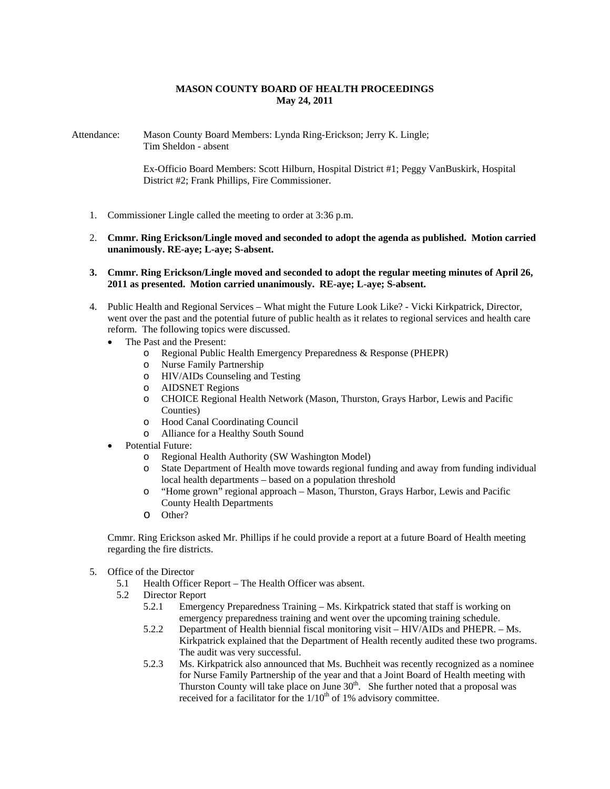## **MASON COUNTY BOARD OF HEALTH PROCEEDINGS May 24, 2011**

Attendance: Mason County Board Members: Lynda Ring-Erickson; Jerry K. Lingle; Tim Sheldon - absent

> Ex-Officio Board Members: Scott Hilburn, Hospital District #1; Peggy VanBuskirk, Hospital District #2; Frank Phillips, Fire Commissioner.

- 1. Commissioner Lingle called the meeting to order at 3:36 p.m.
- 2. **Cmmr. Ring Erickson/Lingle moved and seconded to adopt the agenda as published. Motion carried unanimously. RE-aye; L-aye; S-absent.**
- **3. Cmmr. Ring Erickson/Lingle moved and seconded to adopt the regular meeting minutes of April 26, 2011 as presented. Motion carried unanimously. RE-aye; L-aye; S-absent.**
- 4. Public Health and Regional Services What might the Future Look Like? Vicki Kirkpatrick, Director, went over the past and the potential future of public health as it relates to regional services and health care reform. The following topics were discussed.
	- The Past and the Present:
		- o Regional Public Health Emergency Preparedness & Response (PHEPR)
		- o Nurse Family Partnership
		- o HIV/AIDs Counseling and Testing
		- o AIDSNET Regions
		- o CHOICE Regional Health Network (Mason, Thurston, Grays Harbor, Lewis and Pacific Counties)
		- o Hood Canal Coordinating Council
		- o Alliance for a Healthy South Sound
	- Potential Future:
		- o Regional Health Authority (SW Washington Model)
		- o State Department of Health move towards regional funding and away from funding individual local health departments – based on a population threshold
		- o "Home grown" regional approach Mason, Thurston, Grays Harbor, Lewis and Pacific County Health Departments
		- o Other?

Cmmr. Ring Erickson asked Mr. Phillips if he could provide a report at a future Board of Health meeting regarding the fire districts.

- 5. Office of the Director
	- 5.1 Health Officer Report The Health Officer was absent.
	- 5.2 Director Report
		- 5.2.1 Emergency Preparedness Training Ms. Kirkpatrick stated that staff is working on emergency preparedness training and went over the upcoming training schedule.
		- 5.2.2 Department of Health biennial fiscal monitoring visit HIV/AIDs and PHEPR. Ms. Kirkpatrick explained that the Department of Health recently audited these two programs. The audit was very successful.
		- 5.2.3 Ms. Kirkpatrick also announced that Ms. Buchheit was recently recognized as a nominee for Nurse Family Partnership of the year and that a Joint Board of Health meeting with Thurston County will take place on June  $30<sup>th</sup>$ . She further noted that a proposal was received for a facilitator for the  $1/10<sup>th</sup>$  of 1% advisory committee.